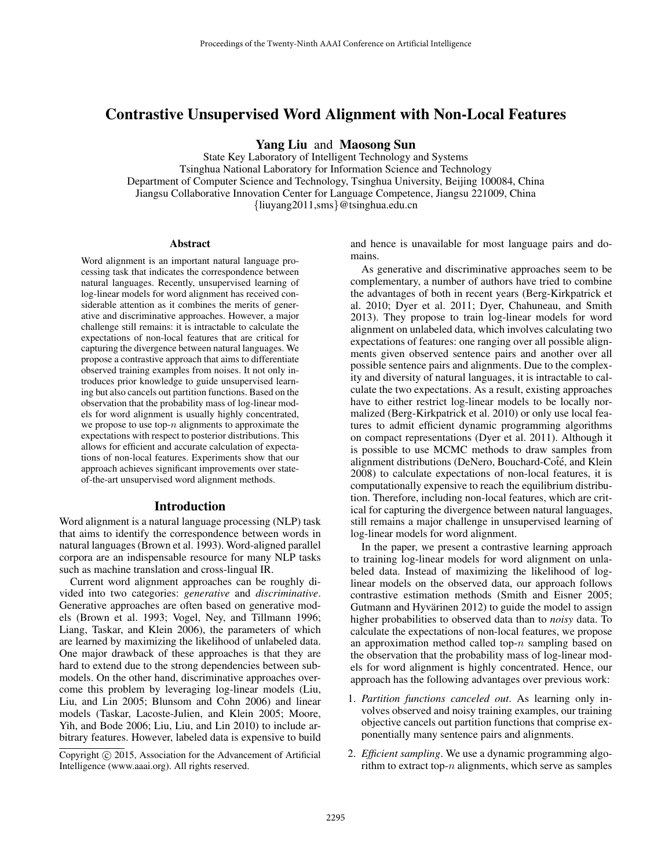# Contrastive Unsupervised Word Alignment with Non-Local Features

Yang Liu and Maosong Sun

State Key Laboratory of Intelligent Technology and Systems Tsinghua National Laboratory for Information Science and Technology Department of Computer Science and Technology, Tsinghua University, Beijing 100084, China Jiangsu Collaborative Innovation Center for Language Competence, Jiangsu 221009, China {liuyang2011,sms}@tsinghua.edu.cn

#### Abstract

Word alignment is an important natural language processing task that indicates the correspondence between natural languages. Recently, unsupervised learning of log-linear models for word alignment has received considerable attention as it combines the merits of generative and discriminative approaches. However, a major challenge still remains: it is intractable to calculate the expectations of non-local features that are critical for capturing the divergence between natural languages. We propose a contrastive approach that aims to differentiate observed training examples from noises. It not only introduces prior knowledge to guide unsupervised learning but also cancels out partition functions. Based on the observation that the probability mass of log-linear models for word alignment is usually highly concentrated, we propose to use top- $n$  alignments to approximate the expectations with respect to posterior distributions. This allows for efficient and accurate calculation of expectations of non-local features. Experiments show that our approach achieves significant improvements over stateof-the-art unsupervised word alignment methods.

#### Introduction

Word alignment is a natural language processing (NLP) task that aims to identify the correspondence between words in natural languages (Brown et al. 1993). Word-aligned parallel corpora are an indispensable resource for many NLP tasks such as machine translation and cross-lingual IR.

Current word alignment approaches can be roughly divided into two categories: *generative* and *discriminative*. Generative approaches are often based on generative models (Brown et al. 1993; Vogel, Ney, and Tillmann 1996; Liang, Taskar, and Klein 2006), the parameters of which are learned by maximizing the likelihood of unlabeled data. One major drawback of these approaches is that they are hard to extend due to the strong dependencies between submodels. On the other hand, discriminative approaches overcome this problem by leveraging log-linear models (Liu, Liu, and Lin 2005; Blunsom and Cohn 2006) and linear models (Taskar, Lacoste-Julien, and Klein 2005; Moore, Yih, and Bode 2006; Liu, Liu, and Lin 2010) to include arbitrary features. However, labeled data is expensive to build and hence is unavailable for most language pairs and domains.

As generative and discriminative approaches seem to be complementary, a number of authors have tried to combine the advantages of both in recent years (Berg-Kirkpatrick et al. 2010; Dyer et al. 2011; Dyer, Chahuneau, and Smith 2013). They propose to train log-linear models for word alignment on unlabeled data, which involves calculating two expectations of features: one ranging over all possible alignments given observed sentence pairs and another over all possible sentence pairs and alignments. Due to the complexity and diversity of natural languages, it is intractable to calculate the two expectations. As a result, existing approaches have to either restrict log-linear models to be locally normalized (Berg-Kirkpatrick et al. 2010) or only use local features to admit efficient dynamic programming algorithms on compact representations (Dyer et al. 2011). Although it is possible to use MCMC methods to draw samples from alignment distributions (DeNero, Bouchard-Coté, and Klein 2008) to calculate expectations of non-local features, it is computationally expensive to reach the equilibrium distribution. Therefore, including non-local features, which are critical for capturing the divergence between natural languages, still remains a major challenge in unsupervised learning of log-linear models for word alignment.

In the paper, we present a contrastive learning approach to training log-linear models for word alignment on unlabeled data. Instead of maximizing the likelihood of loglinear models on the observed data, our approach follows contrastive estimation methods (Smith and Eisner 2005; Gutmann and Hyvärinen 2012) to guide the model to assign higher probabilities to observed data than to *noisy* data. To calculate the expectations of non-local features, we propose an approximation method called top- $n$  sampling based on the observation that the probability mass of log-linear models for word alignment is highly concentrated. Hence, our approach has the following advantages over previous work:

- 1. *Partition functions canceled out*. As learning only involves observed and noisy training examples, our training objective cancels out partition functions that comprise exponentially many sentence pairs and alignments.
- 2. *Efficient sampling*. We use a dynamic programming algorithm to extract top- $n$  alignments, which serve as samples

Copyright (c) 2015, Association for the Advancement of Artificial Intelligence (www.aaai.org). All rights reserved.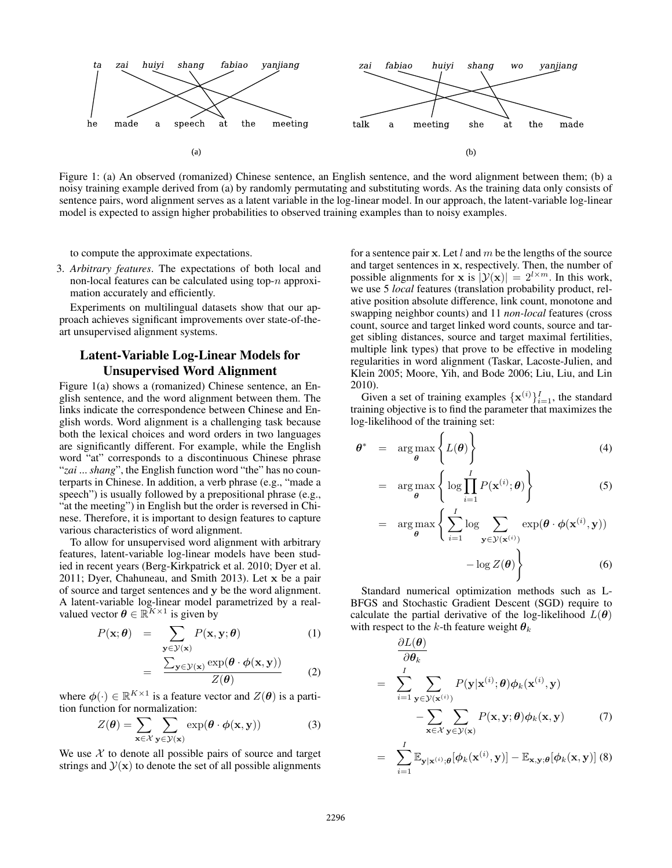

Figure 1: (a) An observed (romanized) Chinese sentence, an English sentence, and the word alignment between them; (b) a noisy training example derived from (a) by randomly permutating and substituting words. As the training data only consists of sentence pairs, word alignment serves as a latent variable in the log-linear model. In our approach, the latent-variable log-linear model is expected to assign higher probabilities to observed training examples than to noisy examples.

to compute the approximate expectations.

3. *Arbitrary features*. The expectations of both local and non-local features can be calculated using top-n approximation accurately and efficiently.

Experiments on multilingual datasets show that our approach achieves significant improvements over state-of-theart unsupervised alignment systems.

## Latent-Variable Log-Linear Models for Unsupervised Word Alignment

Figure 1(a) shows a (romanized) Chinese sentence, an English sentence, and the word alignment between them. The links indicate the correspondence between Chinese and English words. Word alignment is a challenging task because both the lexical choices and word orders in two languages are significantly different. For example, while the English word "at" corresponds to a discontinuous Chinese phrase "*zai* ... *shang*", the English function word "the" has no counterparts in Chinese. In addition, a verb phrase (e.g., "made a speech") is usually followed by a prepositional phrase (e.g., "at the meeting") in English but the order is reversed in Chinese. Therefore, it is important to design features to capture various characteristics of word alignment.

To allow for unsupervised word alignment with arbitrary features, latent-variable log-linear models have been studied in recent years (Berg-Kirkpatrick et al. 2010; Dyer et al. 2011; Dyer, Chahuneau, and Smith 2013). Let x be a pair of source and target sentences and y be the word alignment. A latent-variable log-linear model parametrized by a realvalued vector  $\boldsymbol{\theta} \in \mathbb{R}^{K \times 1}$  is given by

$$
P(\mathbf{x}; \boldsymbol{\theta}) = \sum_{\mathbf{y} \in \mathcal{Y}(\mathbf{x})} P(\mathbf{x}, \mathbf{y}; \boldsymbol{\theta})
$$
(1)

$$
= \frac{\sum_{\mathbf{y}\in\mathcal{Y}(\mathbf{x})} \exp(\boldsymbol{\theta}\cdot\boldsymbol{\phi}(\mathbf{x}, \mathbf{y}))}{Z(\boldsymbol{\theta})}
$$
 (2)

where  $\phi(\cdot) \in \mathbb{R}^{K \times 1}$  is a feature vector and  $Z(\theta)$  is a partition function for normalization:

$$
Z(\boldsymbol{\theta}) = \sum_{\mathbf{x} \in \mathcal{X}} \sum_{\mathbf{y} \in \mathcal{Y}(\mathbf{x})} \exp(\boldsymbol{\theta} \cdot \boldsymbol{\phi}(\mathbf{x}, \mathbf{y}))
$$
(3)

We use  $X$  to denote all possible pairs of source and target strings and  $\mathcal{Y}(x)$  to denote the set of all possible alignments

for a sentence pair x. Let  $l$  and  $m$  be the lengths of the source and target sentences in x, respectively. Then, the number of possible alignments for **x** is  $|\mathcal{Y}(\mathbf{x})| = 2^{l \times m}$ . In this work, we use 5 *local* features (translation probability product, relative position absolute difference, link count, monotone and swapping neighbor counts) and 11 *non-local* features (cross count, source and target linked word counts, source and target sibling distances, source and target maximal fertilities, multiple link types) that prove to be effective in modeling regularities in word alignment (Taskar, Lacoste-Julien, and Klein 2005; Moore, Yih, and Bode 2006; Liu, Liu, and Lin 2010).

Given a set of training examples  $\{x^{(i)}\}_{i=1}^I$ , the standard training objective is to find the parameter that maximizes the log-likelihood of the training set:

$$
\theta^* = \arg \max_{\theta} \left\{ L(\theta) \right\} \tag{4}
$$

$$
= \arg \max_{\boldsymbol{\theta}} \left\{ \log \prod_{i=1}^{I} P(\mathbf{x}^{(i)}; \boldsymbol{\theta}) \right\} \tag{5}
$$

$$
= \arg \max_{\boldsymbol{\theta}} \left\{ \sum_{i=1}^{I} \log \sum_{\mathbf{y} \in \mathcal{Y}(\mathbf{x}^{(i)})} \exp(\boldsymbol{\theta} \cdot \boldsymbol{\phi}(\mathbf{x}^{(i)}, \mathbf{y})) - \log Z(\boldsymbol{\theta}) \right\}
$$
(6)

Standard numerical optimization methods such as L-BFGS and Stochastic Gradient Descent (SGD) require to calculate the partial derivative of the log-likelihood  $L(\theta)$ with respect to the k-th feature weight  $\theta_k$ 

$$
\frac{\partial L(\boldsymbol{\theta})}{\partial \theta_k} = \sum_{i=1}^I \sum_{\mathbf{y} \in \mathcal{Y}(\mathbf{x}^{(i)})} P(\mathbf{y}|\mathbf{x}^{(i)}; \boldsymbol{\theta}) \phi_k(\mathbf{x}^{(i)}, \mathbf{y}) - \sum_{\mathbf{x} \in \mathcal{X}} \sum_{\mathbf{y} \in \mathcal{Y}(\mathbf{x})} P(\mathbf{x}, \mathbf{y}; \boldsymbol{\theta}) \phi_k(\mathbf{x}, \mathbf{y})
$$
(7)

$$
= \sum_{i=1}^{I} \mathbb{E}_{\mathbf{y}|\mathbf{x}^{(i)};\boldsymbol{\theta}}[\phi_k(\mathbf{x}^{(i)}, \mathbf{y})] - \mathbb{E}_{\mathbf{x},\mathbf{y};\boldsymbol{\theta}}[\phi_k(\mathbf{x}, \mathbf{y})] \tag{8}
$$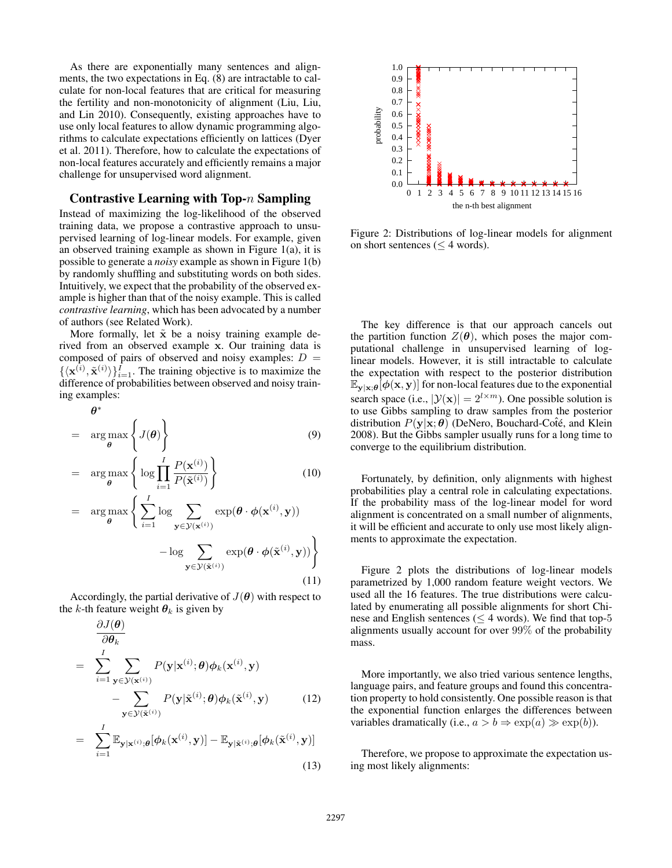As there are exponentially many sentences and alignments, the two expectations in Eq. (8) are intractable to calculate for non-local features that are critical for measuring the fertility and non-monotonicity of alignment (Liu, Liu, and Lin 2010). Consequently, existing approaches have to use only local features to allow dynamic programming algorithms to calculate expectations efficiently on lattices (Dyer et al. 2011). Therefore, how to calculate the expectations of non-local features accurately and efficiently remains a major challenge for unsupervised word alignment.

### Contrastive Learning with Top- $n$  Sampling

Instead of maximizing the log-likelihood of the observed training data, we propose a contrastive approach to unsupervised learning of log-linear models. For example, given an observed training example as shown in Figure 1(a), it is possible to generate a *noisy* example as shown in Figure 1(b) by randomly shuffling and substituting words on both sides. Intuitively, we expect that the probability of the observed example is higher than that of the noisy example. This is called *contrastive learning*, which has been advocated by a number of authors (see Related Work).

More formally, let  $\tilde{x}$  be a noisy training example derived from an observed example x. Our training data is composed of pairs of observed and noisy examples:  $D =$  $\{\langle \mathbf{x}^{(i)}, \tilde{\mathbf{x}}^{(i)} \rangle\}_{i=1}^I$ . The training objective is to maximize the difference of probabilities between observed and noisy training examples:

$$
\boldsymbol{\theta}^*
$$

$$
= \arg \max_{\boldsymbol{\theta}} \left\{ J(\boldsymbol{\theta}) \right\} \tag{9}
$$

$$
= \arg \max_{\theta} \left\{ \log \prod_{i=1}^{I} \frac{P(\mathbf{x}^{(i)})}{P(\tilde{\mathbf{x}}^{(i)})} \right\}
$$
(10)  

$$
= \arg \max_{\theta} \left\{ \sum_{i=1}^{I} \log \sum_{i=1}^{I} \exp(\theta \cdot \phi(\mathbf{x}^{(i)}, \mathbf{y})) \right\}
$$

$$
= \arg \max_{\theta} \left\{ \sum_{i=1}^{\infty} \log \sum_{\mathbf{y} \in \mathcal{Y}(\mathbf{x}^{(i)})} \exp(\theta \cdot \phi(\mathbf{x}^{(i)}, \mathbf{y})) - \log \sum_{\mathbf{y} \in \mathcal{Y}(\tilde{\mathbf{x}}^{(i)})} \exp(\theta \cdot \phi(\tilde{\mathbf{x}}^{(i)}, \mathbf{y})) \right\}
$$
(11)

Accordingly, the partial derivative of  $J(\theta)$  with respect to the k-th feature weight  $\theta_k$  is given by

$$
\frac{\partial J(\boldsymbol{\theta})}{\partial \theta_k} = \sum_{i=1}^I \sum_{\mathbf{y} \in \mathcal{Y}(\mathbf{x}^{(i)})} P(\mathbf{y}|\mathbf{x}^{(i)};\boldsymbol{\theta}) \phi_k(\mathbf{x}^{(i)}, \mathbf{y}) - \sum_{\mathbf{y} \in \mathcal{Y}(\tilde{\mathbf{x}}^{(i)})} P(\mathbf{y}|\tilde{\mathbf{x}}^{(i)};\boldsymbol{\theta}) \phi_k(\tilde{\mathbf{x}}^{(i)}, \mathbf{y}) \qquad (12)
$$

$$
= \sum_{i=1}^{\infty} \mathbb{E}_{\mathbf{y}|\mathbf{x}^{(i)};\boldsymbol{\theta}}[\phi_k(\mathbf{x}^{(i)}, \mathbf{y})] - \mathbb{E}_{\mathbf{y}|\tilde{\mathbf{x}}^{(i)};\boldsymbol{\theta}}[\phi_k(\tilde{\mathbf{x}}^{(i)}, \mathbf{y})]
$$
(13)



Figure 2: Distributions of log-linear models for alignment on short sentences ( $\leq$  4 words).

The key difference is that our approach cancels out the partition function  $Z(\theta)$ , which poses the major computational challenge in unsupervised learning of loglinear models. However, it is still intractable to calculate the expectation with respect to the posterior distribution  $\mathbb{E}_{\mathbf{y}|\mathbf{x};\boldsymbol{\theta}}[\phi(\mathbf{x}, \mathbf{y})]$  for non-local features due to the exponential search space (i.e.,  $|\mathcal{Y}(\mathbf{x})| = 2^{l \times m}$ ). One possible solution is to use Gibbs sampling to draw samples from the posterior distribution  $P(y|x; \theta)$  (DeNero, Bouchard-Coté, and Klein 2008). But the Gibbs sampler usually runs for a long time to converge to the equilibrium distribution.

Fortunately, by definition, only alignments with highest probabilities play a central role in calculating expectations. If the probability mass of the log-linear model for word alignment is concentrated on a small number of alignments, it will be efficient and accurate to only use most likely alignments to approximate the expectation.

Figure 2 plots the distributions of log-linear models parametrized by 1,000 random feature weight vectors. We used all the 16 features. The true distributions were calculated by enumerating all possible alignments for short Chinese and English sentences ( $\leq$  4 words). We find that top-5 alignments usually account for over 99% of the probability mass.

More importantly, we also tried various sentence lengths, language pairs, and feature groups and found this concentration property to hold consistently. One possible reason is that the exponential function enlarges the differences between variables dramatically (i.e.,  $a > b \Rightarrow \exp(a) \gg \exp(b)$ ).

Therefore, we propose to approximate the expectation using most likely alignments: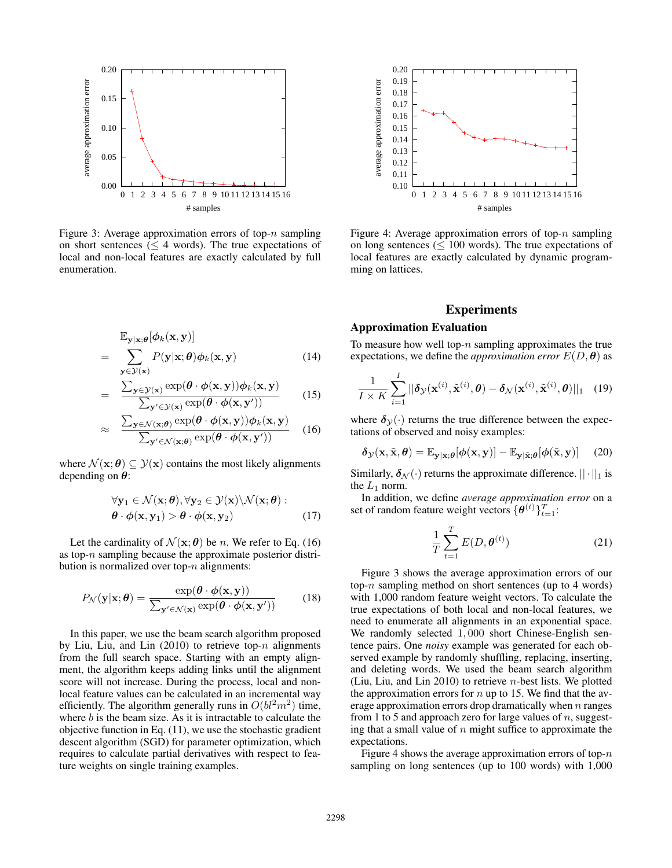

Figure 3: Average approximation errors of top- $n$  sampling on short sentences ( $\leq$  4 words). The true expectations of local and non-local features are exactly calculated by full enumeration.

=

$$
\mathbb{E}_{\mathbf{y}|\mathbf{x};\boldsymbol{\theta}}[\phi_k(\mathbf{x}, \mathbf{y})]
$$
  
= 
$$
\sum_{\mathbf{y} \in \mathcal{Y}(\mathbf{x})} P(\mathbf{y}|\mathbf{x}; \boldsymbol{\theta}) \phi_k(\mathbf{x}, \mathbf{y})
$$
(14)

$$
= \frac{\sum_{\mathbf{y} \in \mathcal{Y}(\mathbf{x})} \exp(\boldsymbol{\theta} \cdot \boldsymbol{\phi}(\mathbf{x}, \mathbf{y})) \boldsymbol{\phi}_k(\mathbf{x}, \mathbf{y})}{\sum_{\mathbf{y}' \in \mathcal{Y}(\mathbf{x})} \exp(\boldsymbol{\theta} \cdot \boldsymbol{\phi}(\mathbf{x}, \mathbf{y}'))}
$$
(15)

$$
\approx \frac{\sum_{\mathbf{y} \in \mathcal{N}(\mathbf{x};\boldsymbol{\theta})} \exp(\boldsymbol{\theta} \cdot \boldsymbol{\phi}(\mathbf{x}, \mathbf{y})) \boldsymbol{\phi}_k(\mathbf{x}, \mathbf{y})}{\sum_{\mathbf{y}' \in \mathcal{N}(\mathbf{x};\boldsymbol{\theta})} \exp(\boldsymbol{\theta} \cdot \boldsymbol{\phi}(\mathbf{x}, \mathbf{y}'))}
$$
(16)

where  $\mathcal{N}(\mathbf{x}; \theta) \subseteq \mathcal{Y}(\mathbf{x})$  contains the most likely alignments depending on  $\theta$ :

$$
\forall \mathbf{y}_1 \in \mathcal{N}(\mathbf{x}; \boldsymbol{\theta}), \forall \mathbf{y}_2 \in \mathcal{Y}(\mathbf{x}) \setminus \mathcal{N}(\mathbf{x}; \boldsymbol{\theta}) : \boldsymbol{\theta} \cdot \boldsymbol{\phi}(\mathbf{x}, \mathbf{y}_1) > \boldsymbol{\theta} \cdot \boldsymbol{\phi}(\mathbf{x}, \mathbf{y}_2)
$$
\n(17)

Let the cardinality of  $\mathcal{N}(\mathbf{x}; \boldsymbol{\theta})$  be *n*. We refer to Eq. (16) as top-n sampling because the approximate posterior distribution is normalized over top- $n$  alignments:

$$
P_{\mathcal{N}}(\mathbf{y}|\mathbf{x};\boldsymbol{\theta}) = \frac{\exp(\boldsymbol{\theta} \cdot \boldsymbol{\phi}(\mathbf{x}, \mathbf{y}))}{\sum_{\mathbf{y}' \in \mathcal{N}(\mathbf{x})} \exp(\boldsymbol{\theta} \cdot \boldsymbol{\phi}(\mathbf{x}, \mathbf{y}'))}
$$
(18)

In this paper, we use the beam search algorithm proposed by Liu, Liu, and Lin  $(2010)$  to retrieve top-n alignments from the full search space. Starting with an empty alignment, the algorithm keeps adding links until the alignment score will not increase. During the process, local and nonlocal feature values can be calculated in an incremental way efficiently. The algorithm generally runs in  $O(bl^2m^2)$  time, where  $b$  is the beam size. As it is intractable to calculate the objective function in Eq. (11), we use the stochastic gradient descent algorithm (SGD) for parameter optimization, which requires to calculate partial derivatives with respect to feature weights on single training examples.



Figure 4: Average approximation errors of top- $n$  sampling on long sentences ( $\leq 100$  words). The true expectations of local features are exactly calculated by dynamic programming on lattices.

### Experiments

### Approximation Evaluation

To measure how well top- $n$  sampling approximates the true expectations, we define the *approximation error*  $E(D, \theta)$  as

$$
\frac{1}{I \times K} \sum_{i=1}^{I} ||\boldsymbol{\delta}_{\mathcal{Y}}(\mathbf{x}^{(i)}, \tilde{\mathbf{x}}^{(i)}, \boldsymbol{\theta}) - \boldsymbol{\delta}_{\mathcal{N}}(\mathbf{x}^{(i)}, \tilde{\mathbf{x}}^{(i)}, \boldsymbol{\theta})||_1 \quad (19)
$$

where  $\delta y(\cdot)$  returns the true difference between the expectations of observed and noisy examples:

$$
\delta_{\mathcal{Y}}(\mathbf{x}, \tilde{\mathbf{x}}, \boldsymbol{\theta}) = \mathbb{E}_{\mathbf{y}|\mathbf{x};\boldsymbol{\theta}}[\phi(\mathbf{x}, \mathbf{y})] - \mathbb{E}_{\mathbf{y}|\tilde{\mathbf{x}};\boldsymbol{\theta}}[\phi(\tilde{\mathbf{x}}, \mathbf{y})]
$$
(20)

Similarly,  $\delta_{\mathcal{N}}(\cdot)$  returns the approximate difference.  $||\cdot||_1$  is the  $L_1$  norm.

In addition, we define *average approximation error* on a set of random feature weight vectors  $\{\boldsymbol{\theta}^{(t)}\}_{t=1}^T$ :

$$
\frac{1}{T} \sum_{t=1}^{T} E(D, \boldsymbol{\theta}^{(t)})
$$
\n(21)

Figure 3 shows the average approximation errors of our top- $n$  sampling method on short sentences (up to 4 words) with 1,000 random feature weight vectors. To calculate the true expectations of both local and non-local features, we need to enumerate all alignments in an exponential space. We randomly selected 1,000 short Chinese-English sentence pairs. One *noisy* example was generated for each observed example by randomly shuffling, replacing, inserting, and deleting words. We used the beam search algorithm (Liu, Liu, and Lin 2010) to retrieve n-best lists. We plotted the approximation errors for  $n$  up to 15. We find that the average approximation errors drop dramatically when  $n$  ranges from 1 to 5 and approach zero for large values of  $n$ , suggesting that a small value of  $n$  might suffice to approximate the expectations.

Figure 4 shows the average approximation errors of top- $n$ sampling on long sentences (up to 100 words) with 1,000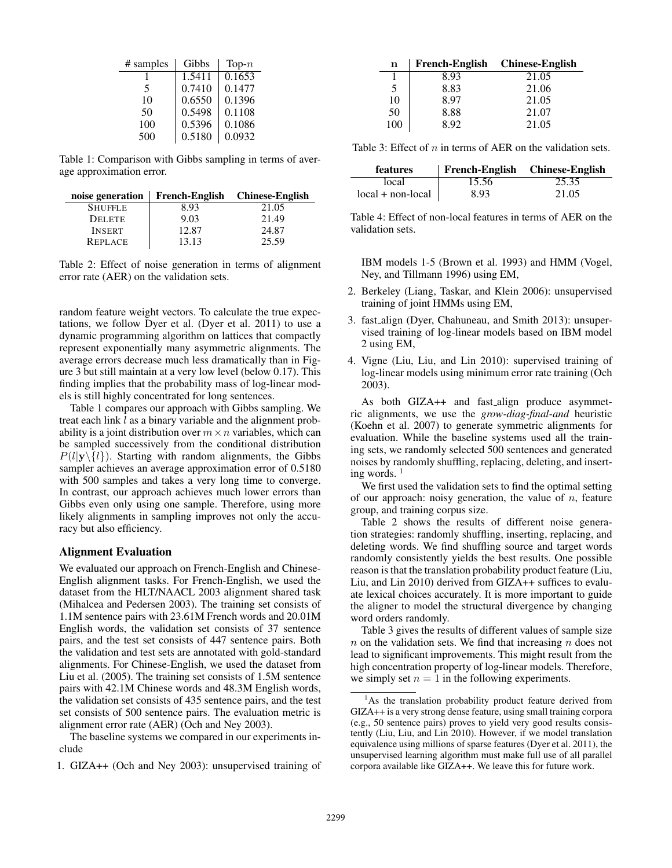| # samples | Gibbs  | Top- $n$ |  |
|-----------|--------|----------|--|
|           | 1.5411 | 0.1653   |  |
| 5         | 0.7410 | 0.1477   |  |
| 10        | 0.6550 | 0.1396   |  |
| 50        | 0.5498 | 0.1108   |  |
| 100       | 0.5396 | 0.1086   |  |
| 500       | 0.5180 | 0.0932   |  |

Table 1: Comparison with Gibbs sampling in terms of average approximation error.

| noise generation $\parallel$ |       | French-English Chinese-English |
|------------------------------|-------|--------------------------------|
| <b>SHUFFLE</b>               | 8.93  | 21.05                          |
| <b>DELETE</b>                | 9.03  | 21.49                          |
| <b>INSERT</b>                | 12.87 | 24.87                          |
| <b>REPLACE</b>               | 13.13 | 25.59                          |

Table 2: Effect of noise generation in terms of alignment error rate (AER) on the validation sets.

random feature weight vectors. To calculate the true expectations, we follow Dyer et al. (Dyer et al. 2011) to use a dynamic programming algorithm on lattices that compactly represent exponentially many asymmetric alignments. The average errors decrease much less dramatically than in Figure 3 but still maintain at a very low level (below 0.17). This finding implies that the probability mass of log-linear models is still highly concentrated for long sentences.

Table 1 compares our approach with Gibbs sampling. We treat each link l as a binary variable and the alignment probability is a joint distribution over  $m \times n$  variables, which can be sampled successively from the conditional distribution  $P(l|\mathbf{y}\rangle\{l\})$ . Starting with random alignments, the Gibbs sampler achieves an average approximation error of  $0.5180$ with 500 samples and takes a very long time to converge. In contrast, our approach achieves much lower errors than Gibbs even only using one sample. Therefore, using more likely alignments in sampling improves not only the accuracy but also efficiency.

### Alignment Evaluation

We evaluated our approach on French-English and Chinese-English alignment tasks. For French-English, we used the dataset from the HLT/NAACL 2003 alignment shared task (Mihalcea and Pedersen 2003). The training set consists of 1.1M sentence pairs with 23.61M French words and 20.01M English words, the validation set consists of 37 sentence pairs, and the test set consists of 447 sentence pairs. Both the validation and test sets are annotated with gold-standard alignments. For Chinese-English, we used the dataset from Liu et al. (2005). The training set consists of 1.5M sentence pairs with 42.1M Chinese words and 48.3M English words, the validation set consists of 435 sentence pairs, and the test set consists of 500 sentence pairs. The evaluation metric is alignment error rate (AER) (Och and Ney 2003).

The baseline systems we compared in our experiments include

1. GIZA++ (Och and Ney 2003): unsupervised training of

| n   |      | French-English Chinese-English |
|-----|------|--------------------------------|
|     | 8.93 | 21.05                          |
| 5   | 8.83 | 21.06                          |
| 10  | 8.97 | 21.05                          |
| 50  | 8.88 | 21.07                          |
| 100 | 892  | 21.05                          |

Table 3: Effect of  $n$  in terms of AER on the validation sets.

| <b>features</b>     |       | French-English Chinese-English |  |
|---------------------|-------|--------------------------------|--|
| local               | 15.56 | 25.35                          |  |
| $local + non-local$ | 8.93  | 21.05                          |  |

Table 4: Effect of non-local features in terms of AER on the validation sets.

IBM models 1-5 (Brown et al. 1993) and HMM (Vogel, Ney, and Tillmann 1996) using EM,

- 2. Berkeley (Liang, Taskar, and Klein 2006): unsupervised training of joint HMMs using EM,
- 3. fast align (Dyer, Chahuneau, and Smith 2013): unsupervised training of log-linear models based on IBM model 2 using EM,
- 4. Vigne (Liu, Liu, and Lin 2010): supervised training of log-linear models using minimum error rate training (Och 2003).

As both GIZA++ and fast\_align produce asymmetric alignments, we use the *grow-diag-final-and* heuristic (Koehn et al. 2007) to generate symmetric alignments for evaluation. While the baseline systems used all the training sets, we randomly selected 500 sentences and generated noises by randomly shuffling, replacing, deleting, and inserting words.  $<sup>1</sup>$ </sup>

We first used the validation sets to find the optimal setting of our approach: noisy generation, the value of  $n$ , feature group, and training corpus size.

Table 2 shows the results of different noise generation strategies: randomly shuffling, inserting, replacing, and deleting words. We find shuffling source and target words randomly consistently yields the best results. One possible reason is that the translation probability product feature (Liu, Liu, and Lin 2010) derived from GIZA++ suffices to evaluate lexical choices accurately. It is more important to guide the aligner to model the structural divergence by changing word orders randomly.

Table 3 gives the results of different values of sample size  $n$  on the validation sets. We find that increasing  $n$  does not lead to significant improvements. This might result from the high concentration property of log-linear models. Therefore, we simply set  $n = 1$  in the following experiments.

 $<sup>1</sup>$ As the translation probability product feature derived from</sup> GIZA++ is a very strong dense feature, using small training corpora (e.g., 50 sentence pairs) proves to yield very good results consistently (Liu, Liu, and Lin 2010). However, if we model translation equivalence using millions of sparse features (Dyer et al. 2011), the unsupervised learning algorithm must make full use of all parallel corpora available like GIZA++. We leave this for future work.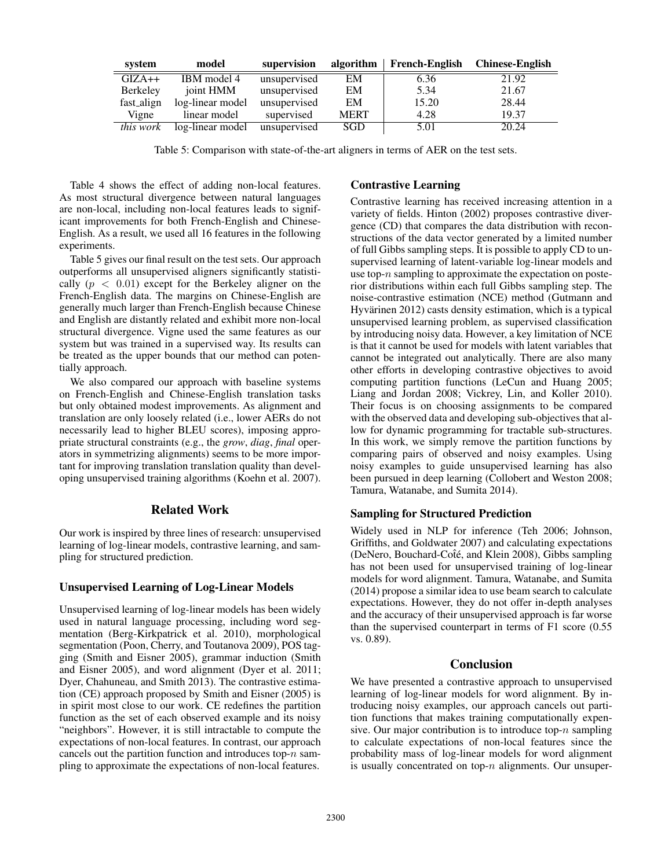| system           | model            | supervision  | algorithm   | <b>French-English</b> | <b>Chinese-English</b> |
|------------------|------------------|--------------|-------------|-----------------------|------------------------|
| $GIZA++$         | IBM model 4      | unsupervised | EM          | 6.36                  | 21.92                  |
| Berkeley         | joint HMM        | unsupervised | EM          | 5.34                  | 21.67                  |
| fast_align       | log-linear model | unsupervised | EM          | 15.20                 | 28.44                  |
| Vigne            | linear model     | supervised   | <b>MERT</b> | 4.28                  | 19.37                  |
| <i>this work</i> | log-linear model | unsupervised | SGD         | 5.01                  | 20.24                  |

Table 5: Comparison with state-of-the-art aligners in terms of AER on the test sets.

Table 4 shows the effect of adding non-local features. As most structural divergence between natural languages are non-local, including non-local features leads to significant improvements for both French-English and Chinese-English. As a result, we used all 16 features in the following experiments.

Table 5 gives our final result on the test sets. Our approach outperforms all unsupervised aligners significantly statistically  $(p < 0.01)$  except for the Berkeley aligner on the French-English data. The margins on Chinese-English are generally much larger than French-English because Chinese and English are distantly related and exhibit more non-local structural divergence. Vigne used the same features as our system but was trained in a supervised way. Its results can be treated as the upper bounds that our method can potentially approach.

We also compared our approach with baseline systems on French-English and Chinese-English translation tasks but only obtained modest improvements. As alignment and translation are only loosely related (i.e., lower AERs do not necessarily lead to higher BLEU scores), imposing appropriate structural constraints (e.g., the *grow*, *diag*, *final* operators in symmetrizing alignments) seems to be more important for improving translation translation quality than developing unsupervised training algorithms (Koehn et al. 2007).

## Related Work

Our work is inspired by three lines of research: unsupervised learning of log-linear models, contrastive learning, and sampling for structured prediction.

### Unsupervised Learning of Log-Linear Models

Unsupervised learning of log-linear models has been widely used in natural language processing, including word segmentation (Berg-Kirkpatrick et al. 2010), morphological segmentation (Poon, Cherry, and Toutanova 2009), POS tagging (Smith and Eisner 2005), grammar induction (Smith and Eisner 2005), and word alignment (Dyer et al. 2011; Dyer, Chahuneau, and Smith 2013). The contrastive estimation (CE) approach proposed by Smith and Eisner (2005) is in spirit most close to our work. CE redefines the partition function as the set of each observed example and its noisy "neighbors". However, it is still intractable to compute the expectations of non-local features. In contrast, our approach cancels out the partition function and introduces top- $n$  sampling to approximate the expectations of non-local features.

### Contrastive Learning

Contrastive learning has received increasing attention in a variety of fields. Hinton (2002) proposes contrastive divergence (CD) that compares the data distribution with reconstructions of the data vector generated by a limited number of full Gibbs sampling steps. It is possible to apply CD to unsupervised learning of latent-variable log-linear models and use top- $n$  sampling to approximate the expectation on posterior distributions within each full Gibbs sampling step. The noise-contrastive estimation (NCE) method (Gutmann and Hyvärinen 2012) casts density estimation, which is a typical unsupervised learning problem, as supervised classification by introducing noisy data. However, a key limitation of NCE is that it cannot be used for models with latent variables that cannot be integrated out analytically. There are also many other efforts in developing contrastive objectives to avoid computing partition functions (LeCun and Huang 2005; Liang and Jordan 2008; Vickrey, Lin, and Koller 2010). Their focus is on choosing assignments to be compared with the observed data and developing sub-objectives that allow for dynamic programming for tractable sub-structures. In this work, we simply remove the partition functions by comparing pairs of observed and noisy examples. Using noisy examples to guide unsupervised learning has also been pursued in deep learning (Collobert and Weston 2008; Tamura, Watanabe, and Sumita 2014).

#### Sampling for Structured Prediction

Widely used in NLP for inference (Teh 2006; Johnson, Griffiths, and Goldwater 2007) and calculating expectations (DeNero, Bouchard-Cote, and Klein 2008), Gibbs sampling has not been used for unsupervised training of log-linear models for word alignment. Tamura, Watanabe, and Sumita (2014) propose a similar idea to use beam search to calculate expectations. However, they do not offer in-depth analyses and the accuracy of their unsupervised approach is far worse than the supervised counterpart in terms of F1 score (0.55 vs. 0.89).

### Conclusion

We have presented a contrastive approach to unsupervised learning of log-linear models for word alignment. By introducing noisy examples, our approach cancels out partition functions that makes training computationally expensive. Our major contribution is to introduce top- $n$  sampling to calculate expectations of non-local features since the probability mass of log-linear models for word alignment is usually concentrated on top- $n$  alignments. Our unsuper